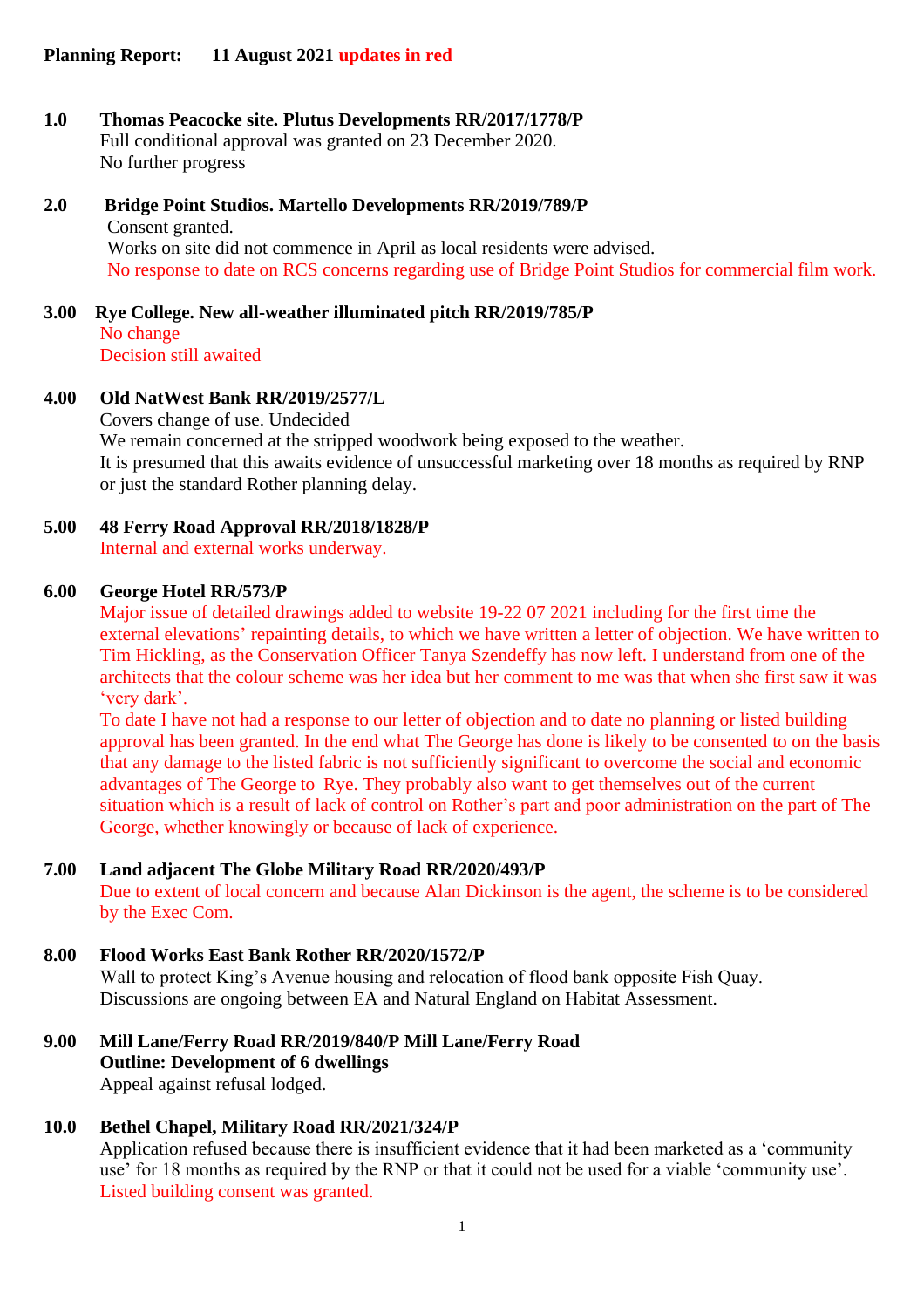- **1.0 Thomas Peacocke site. Plutus Developments RR/2017/1778/P** Full conditional approval was granted on 23 December 2020. No further progress
- **2.0 Bridge Point Studios. Martello Developments RR/2019/789/P** Consent granted. Works on site did not commence in April as local residents were advised. No response to date on RCS concerns regarding use of Bridge Point Studios for commercial film work.
- **3.00 Rye College. New all-weather illuminated pitch RR/2019/785/P** No change Decision still awaited

### **4.00 Old NatWest Bank RR/2019/2577/L**

Covers change of use. Undecided We remain concerned at the stripped woodwork being exposed to the weather. It is presumed that this awaits evidence of unsuccessful marketing over 18 months as required by RNP or just the standard Rother planning delay.

**5.00 48 Ferry Road Approval RR/2018/1828/P** Internal and external works underway.

#### **6.00 George Hotel RR/573/P**

Major issue of detailed drawings added to website 19-22 07 2021 including for the first time the external elevations' repainting details, to which we have written a letter of objection. We have written to Tim Hickling, as the Conservation Officer Tanya Szendeffy has now left. I understand from one of the architects that the colour scheme was her idea but her comment to me was that when she first saw it was 'very dark'.

To date I have not had a response to our letter of objection and to date no planning or listed building approval has been granted. In the end what The George has done is likely to be consented to on the basis that any damage to the listed fabric is not sufficiently significant to overcome the social and economic advantages of The George to Rye. They probably also want to get themselves out of the current situation which is a result of lack of control on Rother's part and poor administration on the part of The George, whether knowingly or because of lack of experience.

#### **7.00 Land adjacent The Globe Military Road RR/2020/493/P**

Due to extent of local concern and because Alan Dickinson is the agent, the scheme is to be considered by the Exec Com.

#### **8.00 Flood Works East Bank Rother RR/2020/1572/P**

Wall to protect King's Avenue housing and relocation of flood bank opposite Fish Quay. Discussions are ongoing between EA and Natural England on Habitat Assessment.

**9.00 Mill Lane/Ferry Road RR/2019/840/P Mill Lane/Ferry Road Outline: Development of 6 dwellings** Appeal against refusal lodged.

#### **10.0 Bethel Chapel, Military Road RR/2021/324/P**

Application refused because there is insufficient evidence that it had been marketed as a 'community use' for 18 months as required by the RNP or that it could not be used for a viable 'community use'. Listed building consent was granted.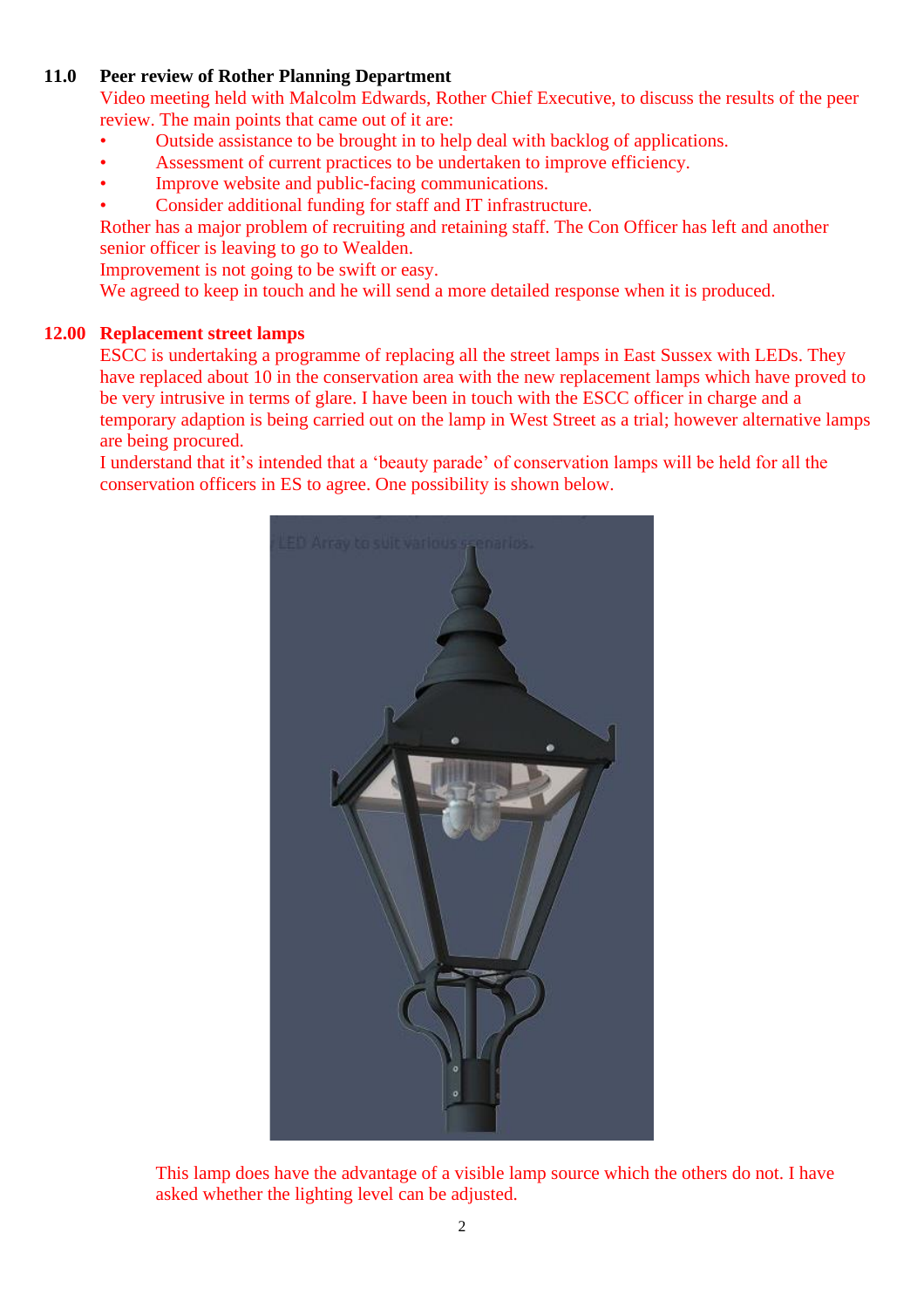## **11.0 Peer review of Rother Planning Department**

Video meeting held with Malcolm Edwards, Rother Chief Executive, to discuss the results of the peer review. The main points that came out of it are:

- Outside assistance to be brought in to help deal with backlog of applications.
- Assessment of current practices to be undertaken to improve efficiency.
- Improve website and public-facing communications.
- Consider additional funding for staff and IT infrastructure.

Rother has a major problem of recruiting and retaining staff. The Con Officer has left and another senior officer is leaving to go to Wealden.

Improvement is not going to be swift or easy.

We agreed to keep in touch and he will send a more detailed response when it is produced.

## **12.00 Replacement street lamps**

ESCC is undertaking a programme of replacing all the street lamps in East Sussex with LEDs. They have replaced about 10 in the conservation area with the new replacement lamps which have proved to be very intrusive in terms of glare. I have been in touch with the ESCC officer in charge and a temporary adaption is being carried out on the lamp in West Street as a trial; however alternative lamps are being procured.

I understand that it's intended that a 'beauty parade' of conservation lamps will be held for all the conservation officers in ES to agree. One possibility is shown below.



This lamp does have the advantage of a visible lamp source which the others do not. I have asked whether the lighting level can be adjusted.